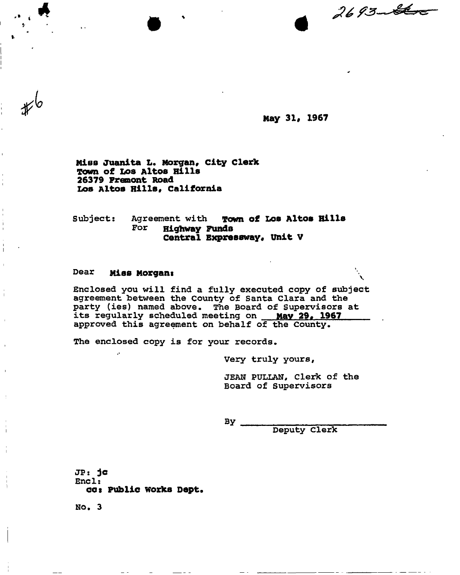«

**May 31, 1967** 

**Miss juanita L. Morgan, city Clerk Town of Los Altos Hills 26379 Fremont Road Los Altos Hills, California** 

**Subject: Agreement with Town of Los Altos Rills For Highway Funds Central Expressway, Unit V** 

#### Dear **Miss Morgans**

 $\mathcal{P}^{\mathcal{C}}$ 

*lo* 

**Enclosed you will find a fully executed copy of subject agreement between the County of Santa Clara and the party (ies) named above. The Board of Supervisors at its regularly scheduled meeting on May 29. 1967 approved this agreement on behalf of the County.** 

**The enclosed copy is for your records.** 

**Very truly yours,** 

**JEAN PULLAN, Clerk of the Board of Supervisors** 

By

**Deputy Clerk** 

**JPs jc Encl: cot Public works Dept.** 

**NO. 3**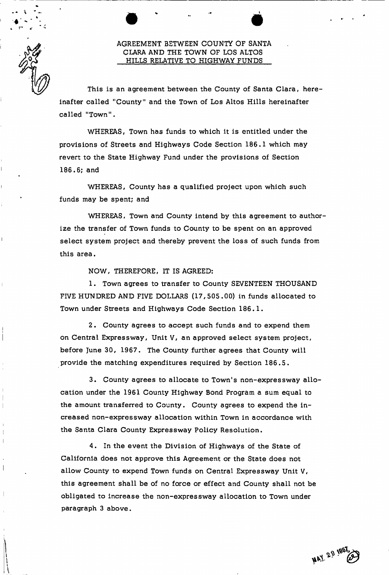### AGREEMENT BETWEEN COUNTY OF SANTA CLARA AND THE TOWN OF LOS ALTOS HILLS RELATIVE TO HIGHWAY FUNDS

 $\bullet$   $\bullet$   $\bullet$   $\bullet$   $\bullet$   $\bullet$ 

This is an agreement between the County of Santa Clara, hereinafter called "County" and the Town of Los Altos Hills hereinafter called "Town".

WHEREAS, Town has funds to which it is entitled under the provisions of Streets and Highways Code Section 186.1 which may revert to the State Highway Fund under the provisions of Section 186.6; and

WHEREAS, County has a qualified project upon which such funds may be spent; and

WHEREAS, Town and County intend by this agreement to authorize the transfer of Town funds to County to be spent on an approved select system project and thereby prevent the loss of such funds from this area.

NOW, THEREFORE, IT IS AGREED:

1. Town agrees to transfer to County SEVENTEEN THOUSAND FIVE HUNDRED AND FIVE DOLLARS (17,505.00) in funds allocated to Town under Streets and Highways Code Section 186.1.

2. County agrees to accept such funds and to expend them on Central Expressway, Unit V, an approved select system project, before June 30, 1967. The County further agrees that County will provide the matching expenditures required by Section 186.5.

3. County agrees to allocate to Town's non-expressway allocation under the 1961 County Highway Bond Program a sum equal to the amount transferred to County. County agrees to expend the increased non-expressway allocation within Town in accordance with the Santa Clara County Expressway Policy Resolution.

4. In the event the Division of Highways of the State of California does not approve this Agreement or the State does not allow County to expend Town funds on Central Expressway Unit V, this agreement shall be of no force or effect and County shall not be obligated to increase the non-expressway allocation to Town under paragraph 3 above.

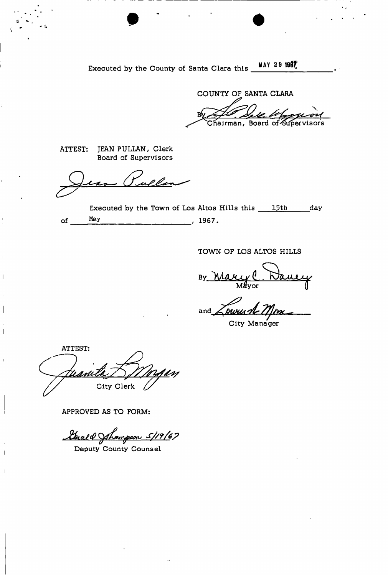Executed by the County of Santa Clara this **MAY 29 1967** 

 $\bullet$   $\bullet$   $\bullet$   $\bullet$ 

COUNTY OF SANTA CLARA  $\lambda$  $By  $fU$ ,  $Y$$ rfiairman, Board of'^SiffJervisors

ATTEST: JEAN PULLAN, Clerk Board of Supervisors

ullan <u>چک</u>

Executed by the Town of Los Altos Hills this  $15th$  day of <u>May</u>, 1967.

TOWN OF LOS ALTOS HILLS

**By.** lyUUCC f **(L .** *KJdLMJUy*  Mayor (|

and

City Manager

ATTEST: City Clerk

 $\overline{\phantom{a}}$ 

APPROVED AS TO FORM:

Strald Strompson 5/19/67

Deputy County Counsel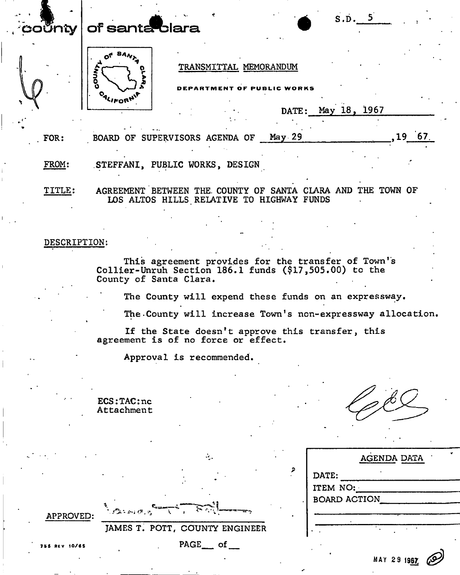## $\mathbf{c}$ Vnty  $\mid$  of santa blara



#### **TRANSMITTAL MEMORANDUM**

**ARTMENT OF PUBLIC WORKS** 

**DATE: May 18, 1967** 

**S.D. 5** 

**FOR:**  BOARD OF SUPERVISORS AGENDA OF May 29 **19 67** 

**FROM: STEFFANI, PUBLIC WORKS, DESIGN** 

**TITLE: AGREEMENT BETWEEN THE. COUNTY OF SANTA CLARA AND THE TOWN OF LOS ALTOS HILLS RELATIVE TO HIGHWAY FUNDS** 

#### **DESCRIPTION:**

**This agreement provides for the transfer of Town's Collier-Unruh Section 186.1 funds (\$17,505.00) to the County of Santa Clara.** 

**The County will expend these funds on an expressway.** 

**The-County will increase Town's non-expressway allocation,** 

**If the State doesn't approve this transfer, this agreement is of no force or effect.** 

**Approval is recommended.** 

**ECS:TAC:nc Attachment** 

|               |                                |   | AGENDA DATA         |
|---------------|--------------------------------|---|---------------------|
|               |                                | D | DATE:               |
|               |                                |   | ITEM NO:            |
|               |                                |   | <b>BOARD ACTION</b> |
| APPROVED:     | in Bassaria (                  |   |                     |
|               | JAMES T. POTT, COUNTY ENGINEER |   |                     |
| 755 REV 10/65 | $PAGE$ of                      |   |                     |
|               |                                |   | MAY 29 1967         |